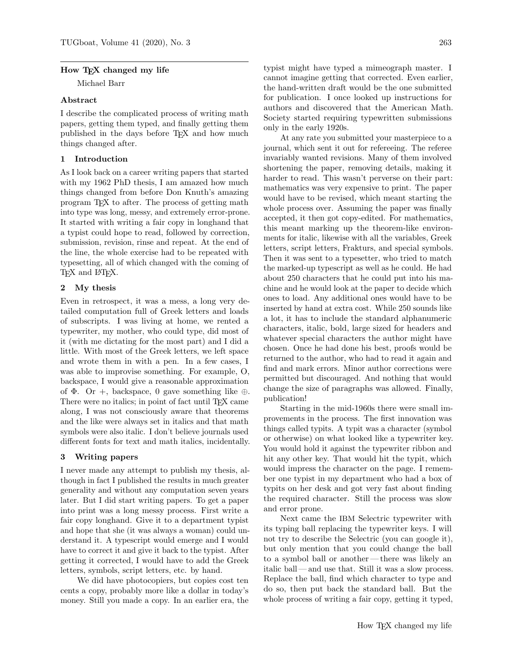### How T<sub>F</sub>X changed my life

Michael Barr

# Abstract

I describe the complicated process of writing math papers, getting them typed, and finally getting them published in the days before TEX and how much things changed after.

# 1 Introduction

As I look back on a career writing papers that started with my 1962 PhD thesis, I am amazed how much things changed from before Don Knuth's amazing program TEX to after. The process of getting math into type was long, messy, and extremely error-prone. It started with writing a fair copy in longhand that a typist could hope to read, followed by correction, submission, revision, rinse and repeat. At the end of the line, the whole exercise had to be repeated with typesetting, all of which changed with the coming of TEX and L<sup>AT</sup>EX.

# 2 My thesis

Even in retrospect, it was a mess, a long very detailed computation full of Greek letters and loads of subscripts. I was living at home, we rented a typewriter, my mother, who could type, did most of it (with me dictating for the most part) and I did a little. With most of the Greek letters, we left space and wrote them in with a pen. In a few cases, I was able to improvise something. For example, O, backspace, I would give a reasonable approximation of  $\Phi$ . Or +, backspace, 0 gave something like ⊕. There were no italics; in point of fact until TEX came along, I was not consciously aware that theorems and the like were always set in italics and that math symbols were also italic. I don't believe journals used different fonts for text and math italics, incidentally.

### 3 Writing papers

I never made any attempt to publish my thesis, although in fact I published the results in much greater generality and without any computation seven years later. But I did start writing papers. To get a paper into print was a long messy process. First write a fair copy longhand. Give it to a department typist and hope that she (it was always a woman) could understand it. A typescript would emerge and I would have to correct it and give it back to the typist. After getting it corrected, I would have to add the Greek letters, symbols, script letters, etc. by hand.

We did have photocopiers, but copies cost ten cents a copy, probably more like a dollar in today's money. Still you made a copy. In an earlier era, the typist might have typed a mimeograph master. I cannot imagine getting that corrected. Even earlier, the hand-written draft would be the one submitted for publication. I once looked up instructions for authors and discovered that the American Math. Society started requiring typewritten submissions only in the early 1920s.

At any rate you submitted your masterpiece to a journal, which sent it out for refereeing. The referee invariably wanted revisions. Many of them involved shortening the paper, removing details, making it harder to read. This wasn't perverse on their part: mathematics was very expensive to print. The paper would have to be revised, which meant starting the whole process over. Assuming the paper was finally accepted, it then got copy-edited. For mathematics, this meant marking up the theorem-like environments for italic, likewise with all the variables, Greek letters, script letters, Frakturs, and special symbols. Then it was sent to a typesetter, who tried to match the marked-up typescript as well as he could. He had about 250 characters that he could put into his machine and he would look at the paper to decide which ones to load. Any additional ones would have to be inserted by hand at extra cost. While 250 sounds like a lot, it has to include the standard alphanumeric characters, italic, bold, large sized for headers and whatever special characters the author might have chosen. Once he had done his best, proofs would be returned to the author, who had to read it again and find and mark errors. Minor author corrections were permitted but discouraged. And nothing that would change the size of paragraphs was allowed. Finally, publication!

Starting in the mid-1960s there were small improvements in the process. The first innovation was things called typits. A typit was a character (symbol or otherwise) on what looked like a typewriter key. You would hold it against the typewriter ribbon and hit any other key. That would hit the typit, which would impress the character on the page. I remember one typist in my department who had a box of typits on her desk and got very fast about finding the required character. Still the process was slow and error prone.

Next came the IBM Selectric typewriter with its typing ball replacing the typewriter keys. I will not try to describe the Selectric (you can google it), but only mention that you could change the ball to a symbol ball or another— there was likely an italic ball — and use that. Still it was a slow process. Replace the ball, find which character to type and do so, then put back the standard ball. But the whole process of writing a fair copy, getting it typed,